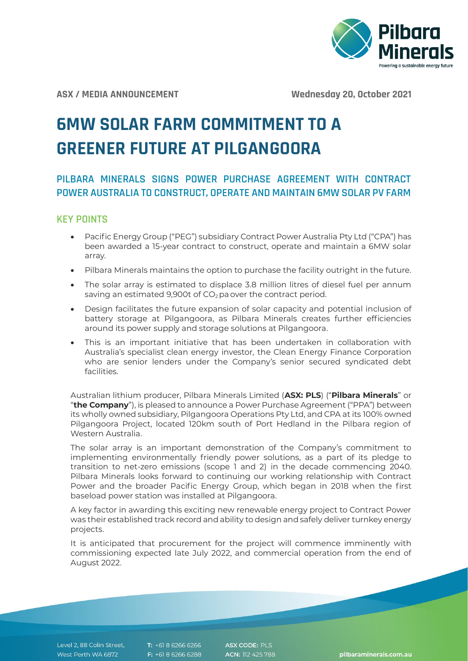

**ASX / MEDIA ANNOUNCEMENT Wednesday 20, October 2021**

# **6MW SOLAR FARM COMMITMENT TO A GREENER FUTURE AT PILGANGOORA**

# **PILBARA MINERALS SIGNS POWER PURCHASE AGREEMENT WITH CONTRACT POWER AUSTRALIA TO CONSTRUCT, OPERATE AND MAINTAIN 6MW SOLAR PV FARM**

## **KEY POINTS**

- Pacific Energy Group ("PEG") subsidiary Contract Power Australia Pty Ltd ("CPA") has been awarded a 15-year contract to construct, operate and maintain a 6MW solar array.
- Pilbara Minerals maintains the option to purchase the facility outright in the future.
- The solar array is estimated to displace 3.8 million litres of diesel fuel per annum saving an estimated 9,900t of  $CO<sub>2</sub>$  pa over the contract period.
- Design facilitates the future expansion of solar capacity and potential inclusion of battery storage at Pilgangoora, as Pilbara Minerals creates further efficiencies around its power supply and storage solutions at Pilgangoora.
- This is an important initiative that has been undertaken in collaboration with Australia's specialist clean energy investor, the Clean Energy Finance Corporation who are senior lenders under the Company's senior secured syndicated debt facilities.

Australian lithium producer, Pilbara Minerals Limited (**ASX: PLS**) ("**Pilbara Minerals**" or "**the Company**"), is pleased to announce a Power Purchase Agreement ("PPA") between its wholly owned subsidiary, Pilgangoora Operations Pty Ltd, and CPA at its 100% owned Pilgangoora Project, located 120km south of Port Hedland in the Pilbara region of Western Australia.

The solar array is an important demonstration of the Company's commitment to implementing environmentally friendly power solutions, as a part of its pledge to transition to net-zero emissions (scope 1 and 2) in the decade commencing 2040. Pilbara Minerals looks forward to continuing our working relationship with Contract Power and the broader Pacific Energy Group, which began in 2018 when the first baseload power station was installed at Pilgangoora.

A key factor in awarding this exciting new renewable energy project to Contract Power was their established track record and ability to design and safely deliver turnkey energy projects.

It is anticipated that procurement for the project will commence imminently with commissioning expected late July 2022, and commercial operation from the end of August 2022.

Level 2, 88 Colin Street, West Perth WA 6872

T: +61 8 6266 6266 F: +61 8 6266 6288 ASX CODE: PLS ACN: 112 425 788

pilbaraminerals.com.au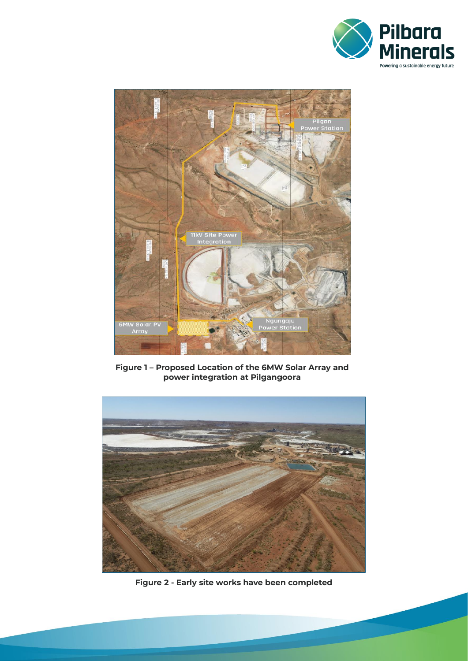



**Figure 1 – Proposed Location of the 6MW Solar Array and power integration at Pilgangoora**



**Figure 2 - Early site works have been completed**